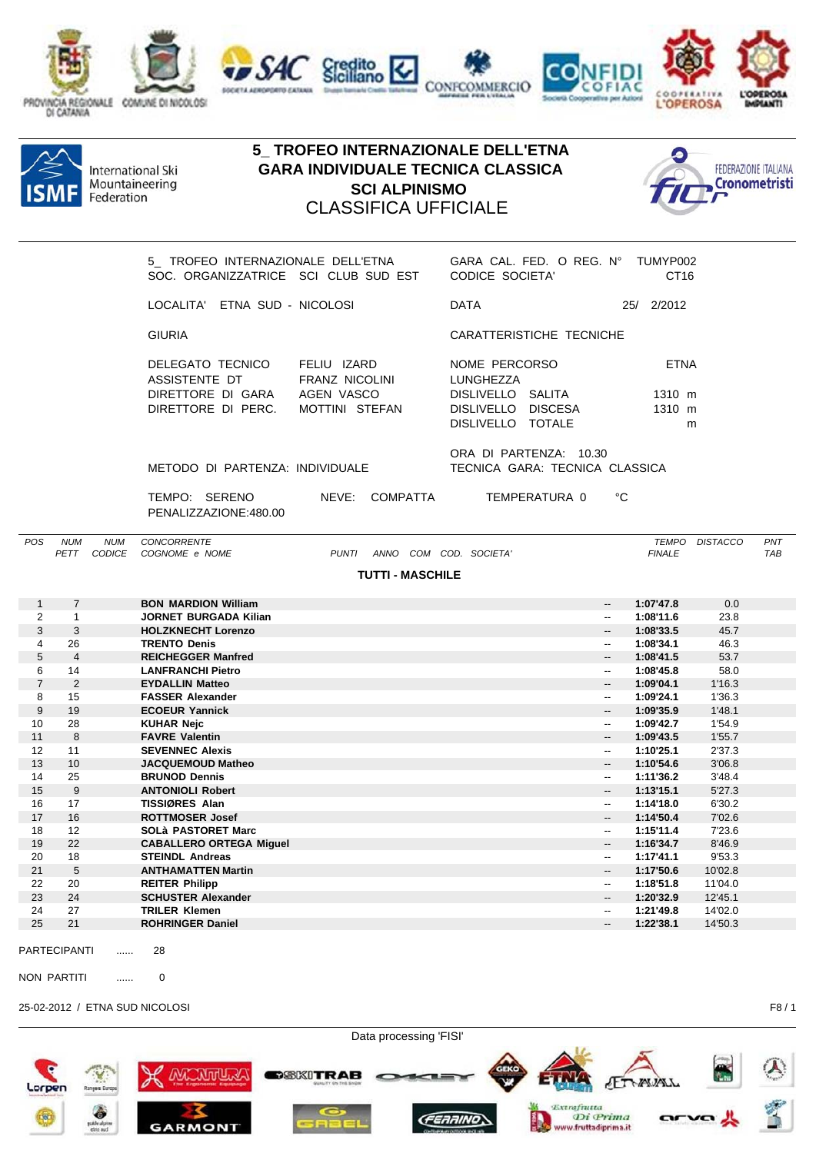





|                |                 |                           | SOC. ORGANIZZATRICE SCI CLUB SUD EST             | 5 TROFEO INTERNAZIONALE DELL'ETNA    | GARA CAL. FED. O REG. N° TUMYP002<br><b>CODICE SOCIETA'</b>  |                                                      | CT <sub>16</sub>       |                |            |
|----------------|-----------------|---------------------------|--------------------------------------------------|--------------------------------------|--------------------------------------------------------------|------------------------------------------------------|------------------------|----------------|------------|
|                |                 |                           | LOCALITA' ETNA SUD - NICOLOSI                    |                                      | <b>DATA</b>                                                  |                                                      | 25/ 2/2012             |                |            |
|                |                 |                           | <b>GIURIA</b>                                    |                                      | CARATTERISTICHE TECNICHE                                     |                                                      |                        |                |            |
|                |                 |                           | DELEGATO TECNICO<br>ASSISTENTE DT                | FELIU IZARD<br><b>FRANZ NICOLINI</b> | NOME PERCORSO<br>LUNGHEZZA                                   |                                                      | <b>ETNA</b>            |                |            |
|                |                 |                           | DIRETTORE DI GARA<br>DIRETTORE DI PERC.          | AGEN VASCO<br>MOTTINI STEFAN         | DISLIVELLO SALITA<br>DISLIVELLO DISCESA<br>DISLIVELLO TOTALE |                                                      | 1310 m<br>1310 m       | m              |            |
|                |                 |                           | METODO DI PARTENZA: INDIVIDUALE                  |                                      | ORA DI PARTENZA: 10.30<br>TECNICA GARA: TECNICA CLASSICA     |                                                      |                        |                |            |
|                |                 |                           | TEMPO: SERENO<br>PENALIZZAZIONE:480.00           | NEVE: COMPATTA                       | TEMPERATURA 0                                                | °C                                                   |                        |                |            |
| POS            | <b>NUM</b>      | <b>NUM</b><br>PETT CODICE | CONCORRENTE<br>COGNOME e NOME                    | PUNTI ANNO COM COD. SOCIETA'         |                                                              |                                                      | <b>FINALE</b>          | TEMPO DISTACCO | PNT<br>TAB |
|                |                 |                           |                                                  | <b>TUTTI - MASCHILE</b>              |                                                              |                                                      |                        |                |            |
|                |                 |                           |                                                  |                                      |                                                              |                                                      |                        |                |            |
| 1              | $\overline{7}$  |                           | <b>BON MARDION William</b>                       |                                      |                                                              | $\overline{\phantom{a}}$                             | 1:07'47.8              | 0.0            |            |
| $\overline{2}$ | $\mathbf{1}$    |                           | <b>JORNET BURGADA Kilian</b>                     |                                      |                                                              | $\overline{\phantom{a}}$                             | 1:08'11.6              | 23.8           |            |
| 3<br>4         | 3<br>26         |                           | <b>HOLZKNECHT Lorenzo</b><br><b>TRENTO Denis</b> |                                      |                                                              | $\overline{\phantom{a}}$<br>$\overline{\phantom{a}}$ | 1:08'33.5<br>1:08'34.1 | 45.7<br>46.3   |            |
| 5              | $\overline{4}$  |                           | <b>REICHEGGER Manfred</b>                        |                                      |                                                              | --                                                   | 1:08'41.5              | 53.7           |            |
| 6              | 14              |                           | <b>LANFRANCHI Pietro</b>                         |                                      |                                                              | $\overline{\phantom{a}}$                             | 1:08'45.8              | 58.0           |            |
| $\overline{7}$ | 2               |                           | <b>EYDALLIN Matteo</b>                           |                                      |                                                              | $\overline{\phantom{a}}$                             | 1:09'04.1              | 1'16.3         |            |
| 8              | 15              |                           | <b>FASSER Alexander</b>                          |                                      |                                                              | $-$                                                  | 1:09'24.1              | 1'36.3         |            |
| 9              | 19              |                           | <b>ECOEUR Yannick</b>                            |                                      |                                                              | $\overline{\phantom{a}}$                             | 1:09'35.9              | 1'48.1         |            |
| 10             | 28              |                           | <b>KUHAR Nejc</b>                                |                                      |                                                              | $\overline{\phantom{a}}$                             | 1:09'42.7              | 1'54.9         |            |
| 11             | 8               |                           | <b>FAVRE Valentin</b>                            |                                      |                                                              | $\overline{a}$                                       | 1:09'43.5              | 1'55.7         |            |
| 12             | 11              |                           | <b>SEVENNEC Alexis</b>                           |                                      |                                                              | $\overline{\phantom{a}}$                             | 1:10'25.1              | 2'37.3         |            |
| 13             | 10 <sup>°</sup> |                           | <b>JACQUEMOUD Matheo</b>                         |                                      |                                                              | --                                                   | 1:10'54.6              | 3'06.8         |            |
| 14             | 25              |                           | <b>BRUNOD Dennis</b>                             |                                      |                                                              | $\overline{\phantom{a}}$                             | 1:11'36.2              | 3'48.4         |            |
| 15             | 9               |                           | <b>ANTONIOLI Robert</b>                          |                                      |                                                              | $- -$                                                | 1:13'15.1              | 5'27.3         |            |
| 16             | 17              |                           | <b>TISSIØRES Alan</b>                            |                                      |                                                              | $\overline{\phantom{a}}$                             | 1:14'18.0              | 6'30.2         |            |
| 17             | 16              |                           | <b>ROTTMOSER Josef</b>                           |                                      |                                                              | $\overline{\phantom{a}}$                             | 1:14'50.4              | 7'02.6         |            |
| 18             | 12              |                           | <b>SOLà PASTORET Marc</b>                        |                                      |                                                              | $\overline{\phantom{a}}$                             | 1:15'11.4              | 7'23.6         |            |
| 19             | 22              |                           | <b>CABALLERO ORTEGA Miguel</b>                   |                                      |                                                              | $\overline{\phantom{a}}$                             | 1:16'34.7              | 8'46.9         |            |
| 20             | 18              |                           | <b>STEINDL Andreas</b>                           |                                      |                                                              | --                                                   | 1:17'41.1              | 9'53.3         |            |
| 21             | 5               |                           | <b>ANTHAMATTEN Martin</b>                        |                                      |                                                              |                                                      | 1:17'50.6              | 10'02.8        |            |

24 27 **TRILER Klemen** -- **1:21'49.8** 14'02.0  $ROHRINGER Daniel$ PARTECIPANTI ...... 28 NON PARTITI ...... 0 25-02-2012 / ETNA SUD NICOLOSI F8 / 1

22 20 **REITER Philipp** -- **1:18'51.8** 11'04.0

**SCHUSTER Alexander** 

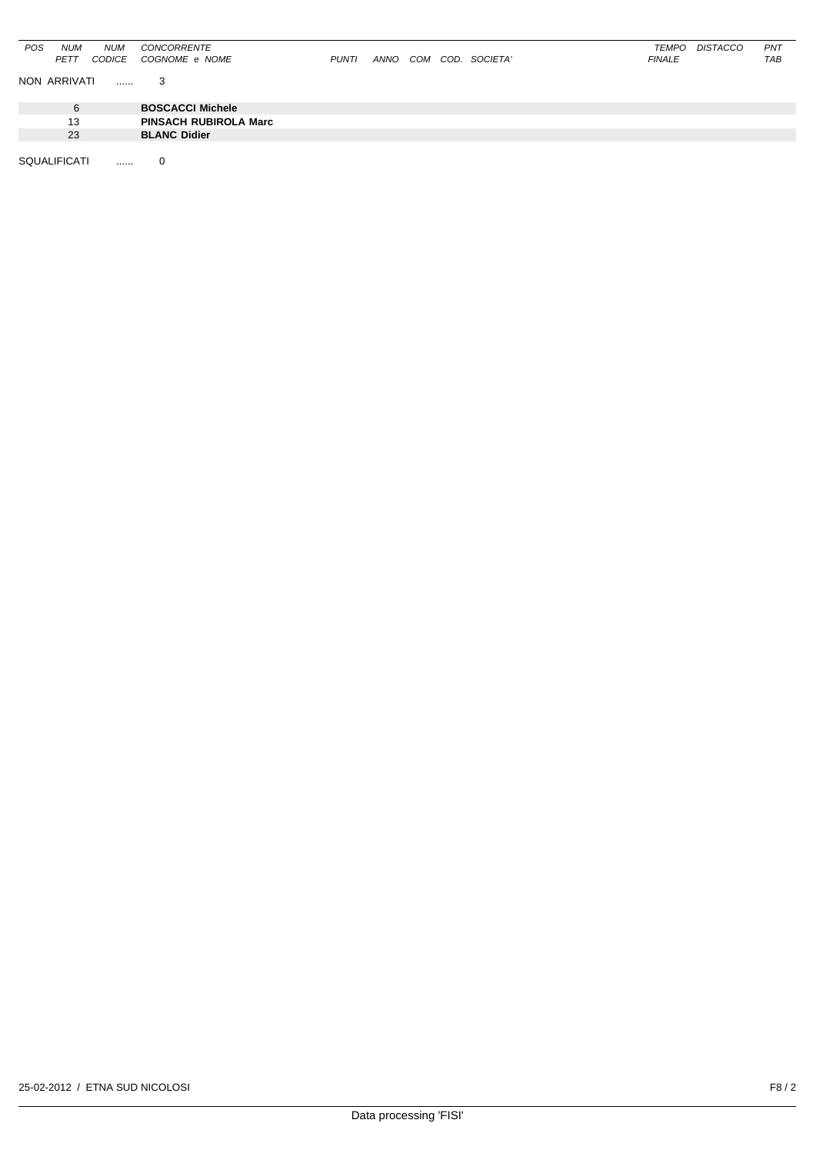| POS | <b>NUM</b>   | <b>NUM</b> | CONCORRENTE                  |              |      |  |                   | TEMPO         | DISTACCO | PNT |
|-----|--------------|------------|------------------------------|--------------|------|--|-------------------|---------------|----------|-----|
|     | <b>PETT</b>  | CODICE     | COGNOME e NOME               | <b>PUNTI</b> | ANNO |  | COM COD. SOCIETA' | <b>FINALE</b> |          | TAB |
|     |              |            |                              |              |      |  |                   |               |          |     |
|     | NON ARRIVATI |            |                              |              |      |  |                   |               |          |     |
|     |              |            |                              |              |      |  |                   |               |          |     |
|     |              |            |                              |              |      |  |                   |               |          |     |
|     | 6            |            | <b>BOSCACCI Michele</b>      |              |      |  |                   |               |          |     |
|     | 13           |            | <b>PINSACH RUBIROLA Marc</b> |              |      |  |                   |               |          |     |
|     |              |            |                              |              |      |  |                   |               |          |     |
|     | 23           |            | <b>BLANC Didier</b>          |              |      |  |                   |               |          |     |
|     |              |            |                              |              |      |  |                   |               |          |     |

SQUALIFICATI ...... 0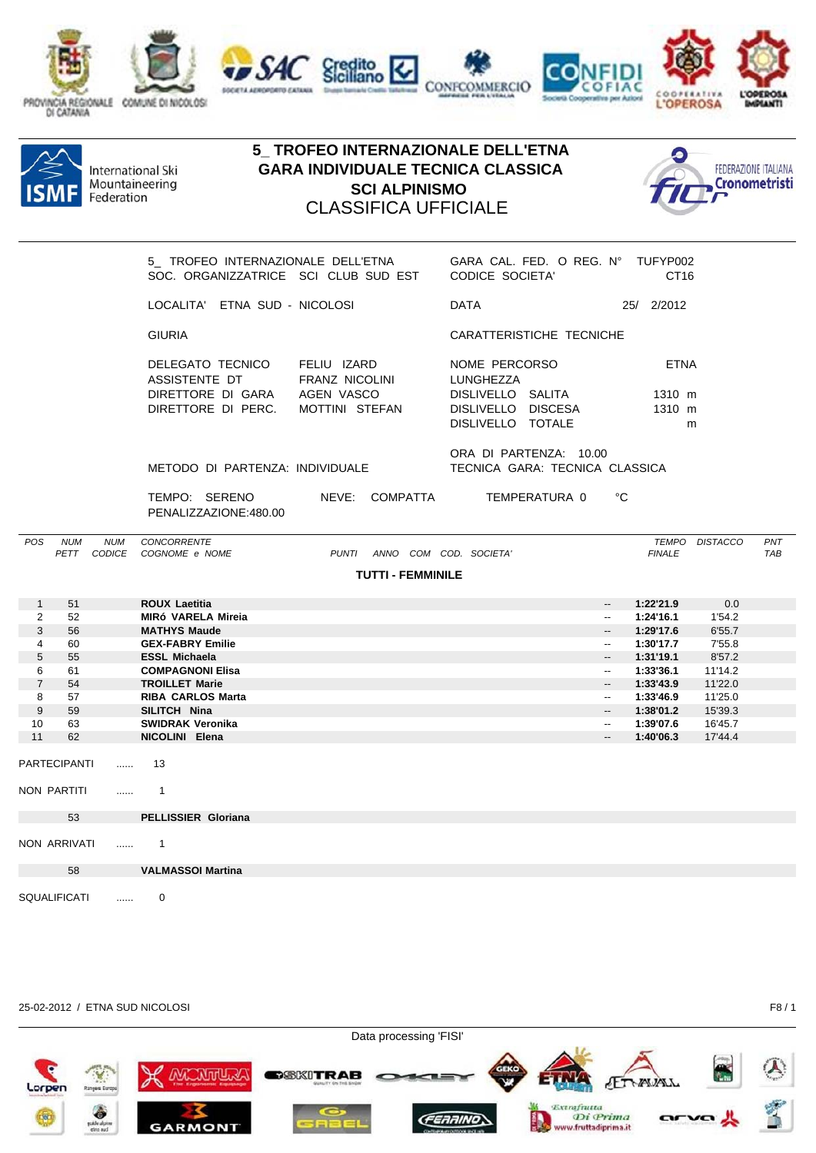





|                     |                                 |            | 5 TROFEO INTERNAZIONALE DELL'ETNA GARA CAL. FED. O REG. N° TUFYP002<br>SOC. ORGANIZZATRICE SCI CLUB SUD EST CODICE SOCIETA' |                               |                              |                                                                                            |                          |                                                      | CT <sub>16</sub>                     |                  |                   |
|---------------------|---------------------------------|------------|-----------------------------------------------------------------------------------------------------------------------------|-------------------------------|------------------------------|--------------------------------------------------------------------------------------------|--------------------------|------------------------------------------------------|--------------------------------------|------------------|-------------------|
|                     |                                 |            | LOCALITA' ETNA SUD - NICOLOSI                                                                                               |                               |                              | DATA                                                                                       |                          |                                                      | 25/ 2/2012                           |                  |                   |
|                     |                                 |            | <b>GIURIA</b>                                                                                                               |                               |                              |                                                                                            | CARATTERISTICHE TECNICHE |                                                      |                                      |                  |                   |
|                     |                                 |            | DELEGATO TECNICO<br>ASSISTENTE DT<br>DIRETTORE DI GARA AGEN VASCO<br>DIRETTORE DI PERC. MOTTINI STEFAN                      | FELIU IZARD<br>FRANZ NICOLINI |                              | NOME PERCORSO<br>LUNGHEZZA<br>DISLIVELLO SALITA<br>DISLIVELLO DISCESA<br>DISLIVELLO TOTALE |                          |                                                      | <b>ETNA</b><br>1310 m<br>1310 m<br>m |                  |                   |
|                     | METODO DI PARTENZA: INDIVIDUALE |            | ORA DI PARTENZA: 10.00<br>TECNICA GARA: TECNICA CLASSICA                                                                    |                               |                              |                                                                                            |                          |                                                      |                                      |                  |                   |
|                     |                                 |            | TEMPO: SERENO<br>PENALIZZAZIONE:480.00                                                                                      |                               |                              |                                                                                            |                          | °C                                                   |                                      |                  |                   |
| POS                 | <b>NUM</b>                      | <b>NUM</b> | CONCORRENTE<br>PETT CODICE COGNOME e NOME                                                                                   |                               | PUNTI ANNO COM COD. SOCIETA' |                                                                                            |                          |                                                      | <b>FINALE</b>                        | TEMPO DISTACCO   | PNT<br><b>TAB</b> |
|                     |                                 |            |                                                                                                                             |                               | <b>TUTTI - FEMMINILE</b>     |                                                                                            |                          |                                                      |                                      |                  |                   |
|                     |                                 |            |                                                                                                                             |                               |                              |                                                                                            |                          |                                                      |                                      |                  |                   |
| $\mathbf{1}$        | 51                              |            | <b>ROUX Laetitia</b>                                                                                                        |                               |                              |                                                                                            |                          | $\overline{\phantom{a}}$                             | 1:22'21.9                            | 0.0              |                   |
| 2                   | 52                              |            | <b>MIRÓ VARELA Mireia</b>                                                                                                   |                               |                              |                                                                                            |                          | $\overline{\phantom{a}}$                             | 1:24'16.1                            | 1'54.2           |                   |
| 3<br>$\overline{4}$ | 56<br>60                        |            | <b>MATHYS Maude</b><br><b>GEX-FABRY Emilie</b>                                                                              |                               |                              |                                                                                            |                          | $\overline{\phantom{a}}$<br>$\overline{\phantom{a}}$ | 1:29'17.6                            | 6'55.7           |                   |
| 5                   | 55                              |            | <b>ESSL Michaela</b>                                                                                                        |                               |                              |                                                                                            |                          | $\overline{\phantom{a}}$                             | 1:30'17.7<br>1:31'19.1               | 7'55.8<br>8'57.2 |                   |
| 6                   | 61                              |            | <b>COMPAGNONI Elisa</b>                                                                                                     |                               |                              |                                                                                            |                          | $\overline{\phantom{a}}$                             | 1:33'36.1                            | 11'14.2          |                   |
| $\overline{7}$      | 54                              |            | <b>TROILLET Marie</b>                                                                                                       |                               |                              |                                                                                            |                          | $\overline{\phantom{a}}$                             | 1:33'43.9                            | 11'22.0          |                   |
| 8                   | 57                              |            | <b>RIBA CARLOS Marta</b>                                                                                                    |                               |                              |                                                                                            |                          | $\sim$                                               | 1:33'46.9                            | 11'25.0          |                   |
| 9                   | 59                              |            | SILITCH Nina                                                                                                                |                               |                              |                                                                                            |                          | $-$                                                  | 1:38'01.2                            | 15'39.3          |                   |
| 10                  | 63                              |            | <b>SWIDRAK Veronika</b>                                                                                                     |                               |                              |                                                                                            |                          | $\sim$                                               | 1:39'07.6                            | 16'45.7          |                   |
| 11                  | 62                              |            | NICOLINI Elena                                                                                                              |                               |                              |                                                                                            |                          | $-$                                                  | 1:40'06.3                            | 17'44.4          |                   |
|                     | <b>PARTECIPANTI</b>             | $\cdots$   | 13                                                                                                                          |                               |                              |                                                                                            |                          |                                                      |                                      |                  |                   |
|                     | NON PARTITI                     | $\cdots$   | $\overline{1}$                                                                                                              |                               |                              |                                                                                            |                          |                                                      |                                      |                  |                   |
|                     | 53                              |            | <b>PELLISSIER Gloriana</b>                                                                                                  |                               |                              |                                                                                            |                          |                                                      |                                      |                  |                   |
|                     | NON ARRIVATI                    | $\ldots$   | $\overline{1}$                                                                                                              |                               |                              |                                                                                            |                          |                                                      |                                      |                  |                   |
|                     | 58                              |            | <b>VALMASSOI Martina</b>                                                                                                    |                               |                              |                                                                                            |                          |                                                      |                                      |                  |                   |
|                     | SQUALIFICATI                    | .          | $\Omega$                                                                                                                    |                               |                              |                                                                                            |                          |                                                      |                                      |                  |                   |



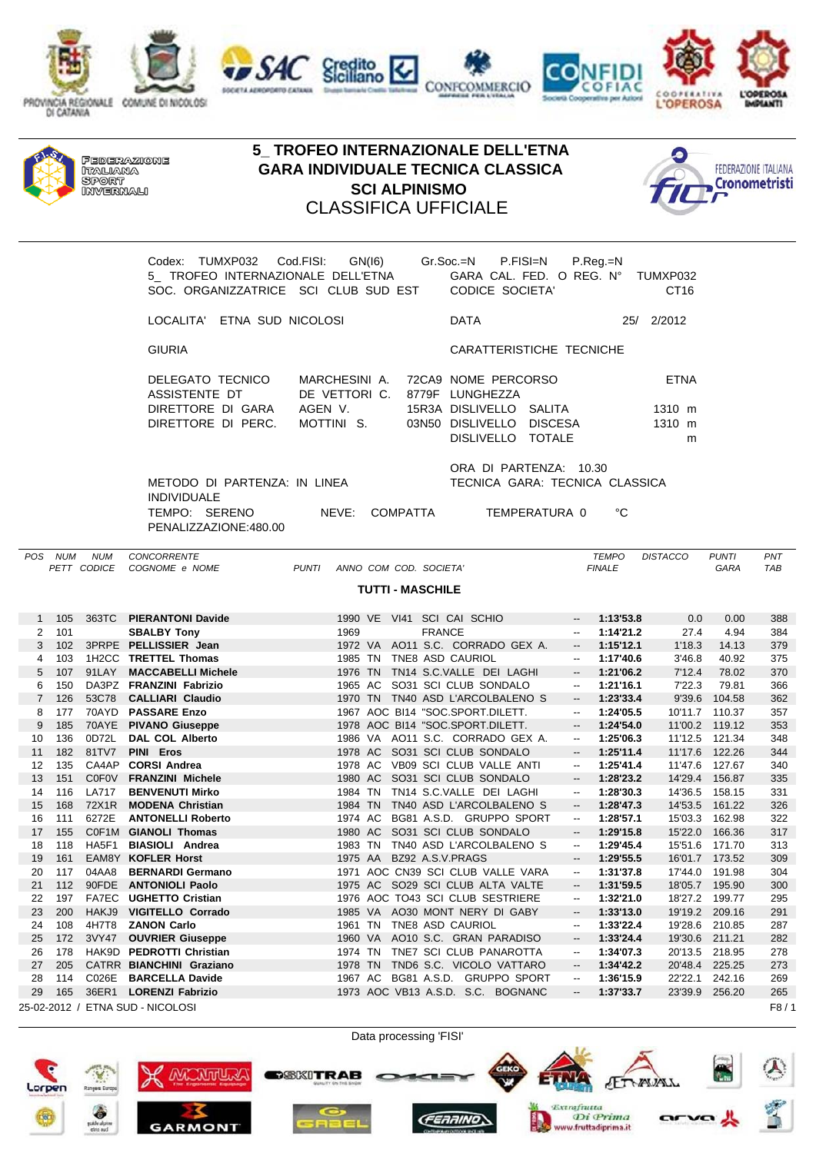





Codex: TUMXP032 Cod.FISI: GN(I6) Gr.Soc.=N P.FISI=N P.Reg.=N 5 TROFEO INTERNAZIONALE DELL'ETNA GARA CAL. FED. O REG. N° TUMXP032 SOC. ORGANIZZATRICE SCI CLUB SUD EST CODICE SOCIETA' CT16 LOCALITA' ETNA SUD NICOLOSI DATA 25/ 2/2012 GIURIA CARATTERISTICHE TECNICHE DELEGATO TECNICO MARCHESINI A. 72CA9 NOME PERCORSO ETNA ASSISTENTE DT DE VETTORI C. 8779F LUNGHEZZA DIRETTORE DI GARA AGEN V. 15R3A DISLIVELLO SALITA 1310 m DIRETTORE DI PERC. MOTTINI S. 03N50 DISLIVELLO DISCESA 1310 m DISLIVELLO TOTALE m ORA DI PARTENZA: 10.30 METODO DI PARTENZA: IN LINEA TECNICA GARA: TECNICA CLASSICA INDIVIDUALE TEMPO: SERENO NEVE: COMPATTA TEMPERATURA 0 °C PENALIZZAZIONE:480.00

*POS NUM NUM CONCORRENTE TEMPO DISTACCO PUNTI PNT PETT CODICE COGNOME e NOME PUNTI ANNO COM COD. SOCIETA' FINALE GARA TAB* **TUTTI - MASCHILE** 1 105 363TC **PIERANTONI Davide** 1990 VE VI41 SCI CAI SCHIO -- **1:13'53.8** 0.0 0.00 388 2 101 **SBALBY Tony** 1969 FRANCE -- **1:14'21.2** 27.4 4.94 384 3 102 3PRPE **PELLISSIER Jean** 1972 VA AO11 S.C. CORRADO GEX A. -- **1:15'12.1** 1'18.3 14.13 379 4 103 1H2CC **TRETTEL Thomas** 1985 TN TNE8 ASD CAURIOL -- **1:17'40.6** 3'46.8 40.92 375 5 107 91LAY **MACCABELLI Michele** 1976 TN TN14 S.C.VALLE DEI LAGHI -- **1:21'06.2** 7'12.4 78.02 370 6 150 DA3PZ **FRANZINI Fabrizio** 1965 AC SO31 SCI CLUB SONDALO -- **1:21'16.1** 7'22.3 79.81 366 7 126 53C78 **CALLIARI Claudio** 1970 TN TN40 ASD L'ARCOLBALENO S -- **1:23'33.4** 9'39.6 104.58 362 8 177 70AYD **PASSARE Enzo** 1967 AOC BI14 "SOC.SPORT.DILETT. -- **1:24'05.5** 10'11.7 110.37 357 9 185 70AYE **PIVANO Giuseppe** 1978 AOC BI14 "SOC.SPORT.DILETT. -- **1:24'54.0** 11'00.2 119.12 353 10 136 0D72L **DAL COL Alberto** 1986 VA AO11 S.C. CORRADO GEX A. -- **1:25'06.3** 11'12.5 121.34 348 11 182 81TV7 **PINI Eros** 1978 AC SO31 SCI CLUB SONDALO -- **1:25'11.4** 11'17.6 122.26 344 12 135 CA4AP **CORSI Andrea** 1978 AC VB09 SCI CLUB VALLE ANTI -- **1:25'41.4** 11'47.6 127.67 340 13 151 C0F0V **FRANZINI Michele** 1980 AC SO31 SCI CLUB SONDALO -- **1:28'23.2** 14'29.4 156.87 335 14 116 LA717 **BENVENUTI Mirko** 1984 TN TN14 S.C.VALLE DEI LAGHI -- **1:28'30.3** 14'36.5 158.15 331 15 168 72X1R **MODENA Christian** 1984 TN TN40 ASD L'ARCOLBALENO S -- **1:28'47.3** 14'53.5 161.22 326 16 111 6272E **ANTONELLI Roberto** 1974 AC BG81 A.S.D. GRUPPO SPORT -- **1:28'57.1** 15'03.3 162.98 322 17 155 C0F1M **GIANOLI Thomas** 1980 AC SO31 SCI CLUB SONDALO -- **1:29'15.8** 15'22.0 166.36 317 18 118 HA5F1 **BIASIOLI Andrea** 1983 TN TN40 ASD L'ARCOLBALENO S -- **1:29'45.4** 15'51.6 171.70 313 19 161 EAM8Y **KOFLER Horst** 1975 AA BZ92 A.S.V.PRAGS -- **1:29'55.5** 16'01.7 173.52 309 20 117 04AA8 **BERNARDI Germano** 1971 AOC CN39 SCI CLUB VALLE VARA -- **1:31'37.8** 17'44.0 191.98 304 21 112 90FDE **ANTONIOLI Paolo** 1975 AC SO29 SCI CLUB ALTA VALTE -- **1:31'59.5** 18'05.7 195.90 300 22 197 FA7EC **UGHETTO Cristian** 1976 AOC TO43 SCI CLUB SESTRIERE -- **1:32'21.0** 18'27.2 199.77 295 23 200 HAKJ9 **VIGITELLO Corrado** 1985 VA AO30 MONT NERY DI GABY -- **1:33'13.0** 19'19.2 209.16 291 24 108 4H7T8 **ZANON Carlo** 1961 TN TNE8 ASD CAURIOL -- **1:33'22.4** 19'28.6 210.85 287 25 172 3VY47 **OUVRIER Giuseppe** 1960 VA AO10 S.C. GRAN PARADISO -- **1:33'24.4** 19'30.6 211.21 282 26 178 HAK9D **PEDROTTI Christian** 1974 TN TNE7 SCI CLUB PANAROTTA -- **1:34'07.3** 20'13.5 218.95 278 27 205 CATRR **BIANCHINI Graziano** 1978 TN TND6 S.C. VICOLO VATTARO -- **1:34'42.2** 20'48.4 225.25 273 28 114 C026E **BARCELLA Davide** 1967 AC BG81 A.S.D. GRUPPO SPORT -- **1:36'15.9** 22'22.1 242.16 269 29 165 36ER1 **LORENZI Fabrizio** 1973 AOC VB13 A.S.D. S.C. BOGNANC -- **1:37'33.7** 23'39.9 256.20 265 25-02-2012 / ETNA SUD - NICOLOSI F8 / 1



Data processing 'FISI'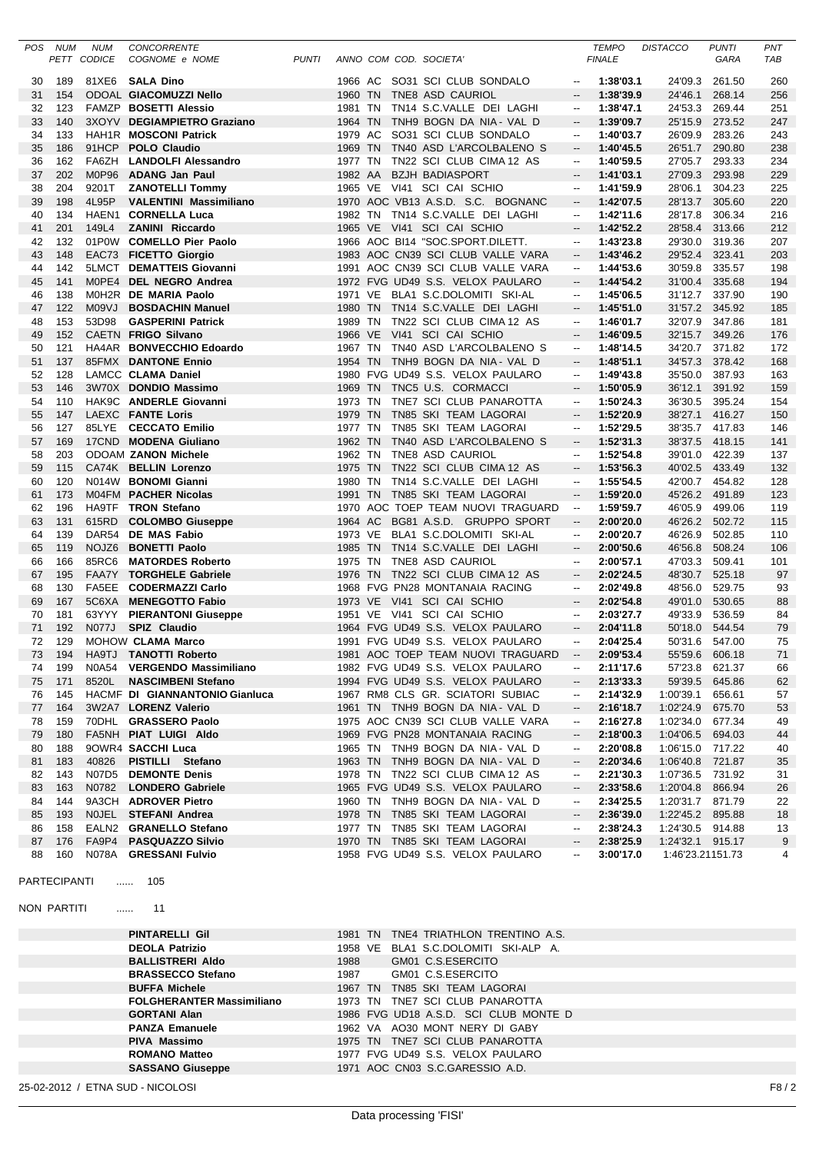| POS | NUM | <b>NUM</b>         | <b>CONCORRENTE</b>             |              |         |      |                                   |                          | <b>TEMPO</b>  | <b>DISTACCO</b>  | <b>PUNTI</b> | PNT |
|-----|-----|--------------------|--------------------------------|--------------|---------|------|-----------------------------------|--------------------------|---------------|------------------|--------------|-----|
|     |     | <b>PETT CODICE</b> | COGNOME e NOME                 | <b>PUNTI</b> |         |      | ANNO COM COD. SOCIETA'            |                          | <b>FINALE</b> |                  | GARA         | TAB |
|     |     |                    |                                |              |         |      |                                   |                          |               |                  |              |     |
| 30  | 189 |                    | 81XE6 SALA Dino                |              |         |      | 1966 AC SO31 SCI CLUB SONDALO     | $\overline{\phantom{a}}$ | 1:38'03.1     | 24'09.3          | 261.50       | 260 |
| 31  | 154 |                    | <b>ODOAL GIACOMUZZI Nello</b>  |              | 1960 TN |      | TNE8 ASD CAURIOL                  | --                       | 1:38'39.9     | 24'46.1          | 268.14       | 256 |
| 32  | 123 |                    | FAMZP BOSETTI Alessio          |              | 1981 TN |      | TN14 S.C.VALLE DEI LAGHI          | $\overline{\phantom{a}}$ | 1:38'47.1     | 24'53.3          | 269.44       | 251 |
| 33  | 140 | 3XOYV              | <b>DEGIAMPIETRO Graziano</b>   |              | 1964 TN |      | TNH9 BOGN DA NIA - VAL D          |                          | 1:39'09.7     | 25'15.9          | 273.52       | 247 |
| 34  | 133 |                    | HAH1R MOSCONI Patrick          |              | 1979 AC |      | SO31 SCI CLUB SONDALO             | $\overline{\phantom{a}}$ | 1:40'03.7     | 26'09.9          | 283.26       | 243 |
| 35  | 186 | 91HCP              | <b>POLO Claudio</b>            |              | 1969 TN |      | TN40 ASD L'ARCOLBALENO S          | --                       | 1:40'45.5     | 26'51.7          | 290.80       | 238 |
| 36  | 162 | FA6ZH              | <b>LANDOLFI Alessandro</b>     |              | 1977 TN |      | TN22 SCI CLUB CIMA 12 AS          | $\overline{\phantom{a}}$ | 1:40'59.5     | 27'05.7          | 293.33       | 234 |
| 37  | 202 | M0P96              | <b>ADANG Jan Paul</b>          |              | 1982 AA |      | <b>BZJH BADIASPORT</b>            |                          | 1:41'03.1     | 27'09.3          | 293.98       | 229 |
| 38  | 204 | 9201T              | <b>ZANOTELLI Tommy</b>         |              | 1965 VE |      | VI41 SCI CAI SCHIO                | $\overline{\phantom{a}}$ | 1:41'59.9     | 28'06.1          | 304.23       | 225 |
| 39  | 198 | 4L95P              | <b>VALENTINI Massimiliano</b>  |              |         |      | 1970 AOC VB13 A.S.D. S.C. BOGNANC | --                       | 1:42'07.5     | 28'13.7          | 305.60       | 220 |
| 40  | 134 |                    | HAEN1 CORNELLA Luca            |              | 1982 TN |      | TN14 S.C.VALLE DEI LAGHI          | $\overline{a}$           | 1:42'11.6     | 28'17.8          | 306.34       | 216 |
| 41  | 201 | 149L4              | <b>ZANINI Riccardo</b>         |              | 1965 VE |      | VI41 SCI CAI SCHIO                | --                       | 1:42'52.2     | 28'58.4          | 313.66       | 212 |
| 42  | 132 |                    | 01P0W COMELLO Pier Paolo       |              |         |      | 1966 AOC BI14 "SOC.SPORT.DILETT.  | $\overline{\phantom{a}}$ | 1:43'23.8     | 29'30.0          | 319.36       | 207 |
| 43  | 148 |                    | EAC73 FICETTO Giorgio          |              |         |      | 1983 AOC CN39 SCI CLUB VALLE VARA | --                       | 1:43'46.2     | 29'52.4          | 323.41       | 203 |
| 44  | 142 |                    | 5LMCT DEMATTEIS Giovanni       |              |         |      | 1991 AOC CN39 SCI CLUB VALLE VARA | $\overline{\phantom{a}}$ | 1:44'53.6     | 30'59.8          | 335.57       | 198 |
| 45  | 141 |                    | MOPE4 DEL NEGRO Andrea         |              |         |      | 1972 FVG UD49 S.S. VELOX PAULARO  | --                       | 1:44'54.2     | 31'00.4          | 335.68       | 194 |
|     | 138 |                    | M0H2R DE MARIA Paolo           |              | 1971 VE |      | BLA1 S.C.DOLOMITI SKI-AL          | $\overline{\phantom{a}}$ |               |                  |              |     |
| 46  |     |                    |                                |              |         |      |                                   |                          | 1:45'06.5     | 31'12.7          | 337.90       | 190 |
| 47  | 122 | LVP0M              | <b>BOSDACHIN Manuel</b>        |              | 1980 TN |      | TN14 S.C.VALLE DEI LAGHI          | --                       | 1:45'51.0     | 31'57.2 345.92   |              | 185 |
| 48  | 153 | 53D98              | <b>GASPERINI Patrick</b>       |              | 1989 TN |      | TN22 SCI CLUB CIMA 12 AS          | --                       | 1:46'01.7     | 32'07.9          | 347.86       | 181 |
| 49  | 152 |                    | CAETN FRIGO Silvano            |              | 1966 VE |      | VI41 SCI CAI SCHIO                | $\overline{\phantom{a}}$ | 1:46'09.5     | 32'15.7          | 349.26       | 176 |
| 50  | 121 |                    | HA4AR BONVECCHIO Edoardo       |              |         |      | 1967 TN TN40 ASD L'ARCOLBALENO S  | $\overline{\phantom{a}}$ | 1:48'14.5     | 34'20.7          | 371.82       | 172 |
| 51  | 137 |                    | 85FMX DANTONE Ennio            |              | 1954 TN |      | TNH9 BOGN DA NIA - VAL D          | $\overline{\phantom{a}}$ | 1:48'51.1     | 34'57.3          | 378.42       | 168 |
| 52  | 128 |                    | LAMCC CLAMA Daniel             |              |         |      | 1980 FVG UD49 S.S. VELOX PAULARO  | $\overline{\phantom{a}}$ | 1:49'43.8     | 35'50.0          | 387.93       | 163 |
| 53  | 146 |                    | 3W70X DONDIO Massimo           |              |         |      | 1969 TN TNC5 U.S. CORMACCI        | $\overline{\phantom{a}}$ | 1:50'05.9     | 36'12.1          | 391.92       | 159 |
| 54  | 110 |                    | HAK9C ANDERLE Giovanni         |              | 1973 TN |      | TNE7 SCI CLUB PANAROTTA           | $\overline{\phantom{a}}$ | 1:50'24.3     | 36'30.5          | 395.24       | 154 |
| 55  | 147 |                    | <b>LAEXC FANTE Loris</b>       |              | 1979 TN |      | TN85 SKI TEAM LAGORAI             | $\overline{\phantom{a}}$ | 1:52'20.9     | 38'27.1          | 416.27       | 150 |
| 56  | 127 | 85LYE              | <b>CECCATO Emilio</b>          |              | 1977 TN |      | TN85 SKI TEAM LAGORAI             | $\overline{a}$           | 1:52'29.5     | 38'35.7          | 417.83       | 146 |
| 57  | 169 | 17CND              | <b>MODENA Giuliano</b>         |              | 1962 TN |      | TN40 ASD L'ARCOLBALENO S          | $\overline{\phantom{a}}$ | 1:52'31.3     | 38'37.5          | 418.15       | 141 |
| 58  | 203 |                    | <b>ODOAM ZANON Michele</b>     |              | 1962 TN |      | TNE8 ASD CAURIOL                  | --                       | 1:52'54.8     | 39'01.0          | 422.39       | 137 |
| 59  | 115 |                    | CA74K BELLIN Lorenzo           |              | 1975 TN |      | TN22 SCI CLUB CIMA 12 AS          | $\overline{\phantom{a}}$ | 1:53'56.3     | 40'02.5 433.49   |              | 132 |
| 60  | 120 | N014W              | <b>BONOMI Gianni</b>           |              | 1980 TN |      | TN14 S.C.VALLE DEI LAGHI          | $\overline{\phantom{a}}$ | 1:55'54.5     | 42'00.7          | 454.82       | 128 |
| 61  | 173 |                    | M04FM PACHER Nicolas           |              | 1991 TN |      | TN85 SKI TEAM LAGORAI             | $\overline{\phantom{a}}$ | 1:59'20.0     | 45'26.2          | 491.89       | 123 |
| 62  | 196 | HA9TF              | <b>TRON Stefano</b>            |              |         |      | 1970 AOC TOEP TEAM NUOVI TRAGUARD | $\overline{\phantom{a}}$ | 1:59'59.7     | 46'05.9          | 499.06       | 119 |
| 63  | 131 | 615RD              | <b>COLOMBO Giuseppe</b>        |              | 1964 AC |      | BG81 A.S.D. GRUPPO SPORT          | $\overline{\phantom{a}}$ | 2:00'20.0     | 46'26.2          | 502.72       | 115 |
| 64  | 139 | DAR54              | <b>DE MAS Fabio</b>            |              | 1973 VE |      | BLA1 S.C.DOLOMITI SKI-AL          | $\overline{\phantom{a}}$ | 2:00'20.7     | 46'26.9          | 502.85       | 110 |
| 65  | 119 | NOJZ6              | <b>BONETTI Paolo</b>           |              | 1985 TN |      | TN14 S.C.VALLE DEI LAGHI          | $\overline{\phantom{a}}$ | 2:00'50.6     | 46'56.8          | 508.24       | 106 |
| 66  | 166 | 85RC6              | <b>MATORDES Roberto</b>        |              | 1975 TN |      | TNE8 ASD CAURIOL                  | $\overline{\phantom{a}}$ | 2:00'57.1     | 47'03.3          | 509.41       | 101 |
| 67  | 195 | FAA7Y              | <b>TORGHELE Gabriele</b>       |              | 1976    | - TN | TN22 SCI CLUB CIMA 12 AS          |                          | 2:02'24.5     | 48'30.7          | 525.18       | 97  |
|     |     | FA5EE              |                                |              |         |      |                                   | --                       |               |                  |              |     |
| 68  | 130 |                    | <b>CODERMAZZI Carlo</b>        |              |         |      | 1968 FVG PN28 MONTANAIA RACING    | $\overline{\phantom{a}}$ | 2:02'49.8     | 48'56.0          | 529.75       | 93  |
| 69  | 167 | 5C6XA              | <b>MENEGOTTO Fabio</b>         |              |         |      | 1973 VE VI41 SCI CAI SCHIO        | --                       | 2:02'54.8     | 49'01.0          | 530.65       | 88  |
| 70  | 181 | 63YYY              | <b>PIERANTONI Giuseppe</b>     |              | 1951 VE |      | VI41 SCI CAI SCHIO                | $\overline{\phantom{a}}$ | 2:03'27.7     | 49'33.9          | 536.59       | 84  |
| 71  | 192 | N077J              | <b>SPIZ Claudio</b>            |              |         |      | 1964 FVG UD49 S.S. VELOX PAULARO  | $\overline{\phantom{a}}$ | 2:04'11.8     | 50'18.0          | 544.54       | 79  |
| 72  | 129 |                    | <b>MOHOW CLAMA Marco</b>       |              | 1991    |      | FVG UD49 S.S. VELOX PAULARO       | $\overline{\phantom{a}}$ | 2:04'25.4     | 50'31.6          | 547.00       | 75  |
| 73  | 194 |                    | HA9TJ TANOTTI Roberto          |              |         |      | 1981 AOC TOEP TEAM NUOVI TRAGUARD |                          | 2:09'53.4     | 55'59.6 606.18   |              | 71  |
| 74  | 199 |                    | N0A54 VERGENDO Massimiliano    |              |         |      | 1982 FVG UD49 S.S. VELOX PAULARO  | --                       | 2:11'17.6     | 57'23.8 621.37   |              | 66  |
| 75  | 171 | 8520L              | <b>NASCIMBENI Stefano</b>      |              |         |      | 1994 FVG UD49 S.S. VELOX PAULARO  | --                       | 2:13'33.3     | 59'39.5 645.86   |              | 62  |
| 76  | 145 |                    | HACMF DI GIANNANTONIO Gianluca |              |         |      | 1967 RM8 CLS GR. SCIATORI SUBIAC  | --                       | 2:14'32.9     | 1:00'39.1        | 656.61       | 57  |
| 77  | 164 |                    | 3W2A7 LORENZ Valerio           |              |         |      | 1961 TN TNH9 BOGN DA NIA - VAL D  | --                       | 2:16'18.7     | 1:02'24.9 675.70 |              | 53  |
| 78  | 159 |                    | 70DHL GRASSERO Paolo           |              |         |      | 1975 AOC CN39 SCI CLUB VALLE VARA | $\overline{\phantom{a}}$ | 2:16'27.8     | 1:02'34.0 677.34 |              | 49  |
| 79  | 180 |                    | FA5NH PIAT LUIGI Aldo          |              |         |      | 1969 FVG PN28 MONTANAIA RACING    | --                       | 2:18'00.3     | 1:04'06.5 694.03 |              | 44  |
| 80  | 188 |                    | 9OWR4 SACCHI Luca              |              |         |      | 1965 TN TNH9 BOGN DA NIA - VAL D  | --                       | 2:20'08.8     | 1:06'15.0 717.22 |              | 40  |
| 81  | 183 | 40826              | PISTILLI Stefano               |              |         |      | 1963 TN TNH9 BOGN DA NIA - VAL D  | --                       | 2:20'34.6     | 1:06'40.8 721.87 |              | 35  |
| 82  | 143 |                    | N07D5 DEMONTE Denis            |              |         |      | 1978 TN TN22 SCI CLUB CIMA 12 AS  | --                       | 2:21'30.3     | 1:07'36.5 731.92 |              | 31  |
| 83  | 163 | N0782              | <b>LONDERO Gabriele</b>        |              |         |      | 1965 FVG UD49 S.S. VELOX PAULARO  | --                       | 2:33'58.6     | 1:20'04.8 866.94 |              | 26  |
| 84  | 144 |                    | 9A3CH ADROVER Pietro           |              |         |      | 1960 TN TNH9 BOGN DA NIA - VAL D  | --                       | 2:34'25.5     | 1:20'31.7 871.79 |              | 22  |
| 85  | 193 |                    | NOJEL STEFANI Andrea           |              |         |      | 1978 TN TN85 SKI TEAM LAGORAI     | --                       | 2:36'39.0     | 1:22'45.2 895.88 |              | 18  |
| 86  | 158 |                    | EALN2 GRANELLO Stefano         |              |         |      | 1977 TN TN85 SKI TEAM LAGORAI     | $\overline{\phantom{a}}$ | 2:38'24.3     | 1:24'30.5 914.88 |              | 13  |
| 87  | 176 |                    | FA9P4 PASQUAZZO Silvio         |              |         |      | 1970 TN TN85 SKI TEAM LAGORAI     | --                       | 2:38'25.9     | 1:24'32.1 915.17 |              | 9   |
| 88  | 160 |                    | N078A GRESSANI Fulvio          |              |         |      | 1958 FVG UD49 S.S. VELOX PAULARO  | --                       | 3:00'17.0     | 1:46'23.21151.73 |              | 4   |
|     |     |                    |                                |              |         |      |                                   |                          |               |                  |              |     |

```
PARTECIPANTI ...... 105
```
NON PARTITI ...... 11

| <b>PINTARELLI Gil</b>            | TNE4 TRIATHLON TRENTINO A.S.<br>1981 TN |      |
|----------------------------------|-----------------------------------------|------|
| <b>DEOLA Patrizio</b>            | BLA1 S.C.DOLOMITI SKI-ALP A.<br>1958 VE |      |
| <b>BALLISTRERI Aldo</b>          | GM01 C.S.ESERCITO<br>1988               |      |
| <b>BRASSECCO Stefano</b>         | GM01 C.S.ESERCITO<br>1987               |      |
| <b>BUFFA Michele</b>             | 1967 TN TN85 SKI TEAM LAGORAI           |      |
| <b>FOLGHERANTER Massimiliano</b> | 1973 TN TNE7 SCI CLUB PANAROTTA         |      |
| <b>GORTANI Alan</b>              | 1986 FVG UD18 A.S.D. SCI CLUB MONTE D   |      |
| <b>PANZA Emanuele</b>            | 1962 VA AO30 MONT NERY DI GABY          |      |
| <b>PIVA Massimo</b>              | 1975 TN TNE7 SCI CLUB PANAROTTA         |      |
| <b>ROMANO Matteo</b>             | 1977 FVG UD49 S.S. VELOX PAULARO        |      |
| <b>SASSANO Giuseppe</b>          | 1971 AOC CN03 S.C.GARESSIO A.D.         |      |
| 25-02-2012 / ETNA SUD - NICOLOSI |                                         | F8/2 |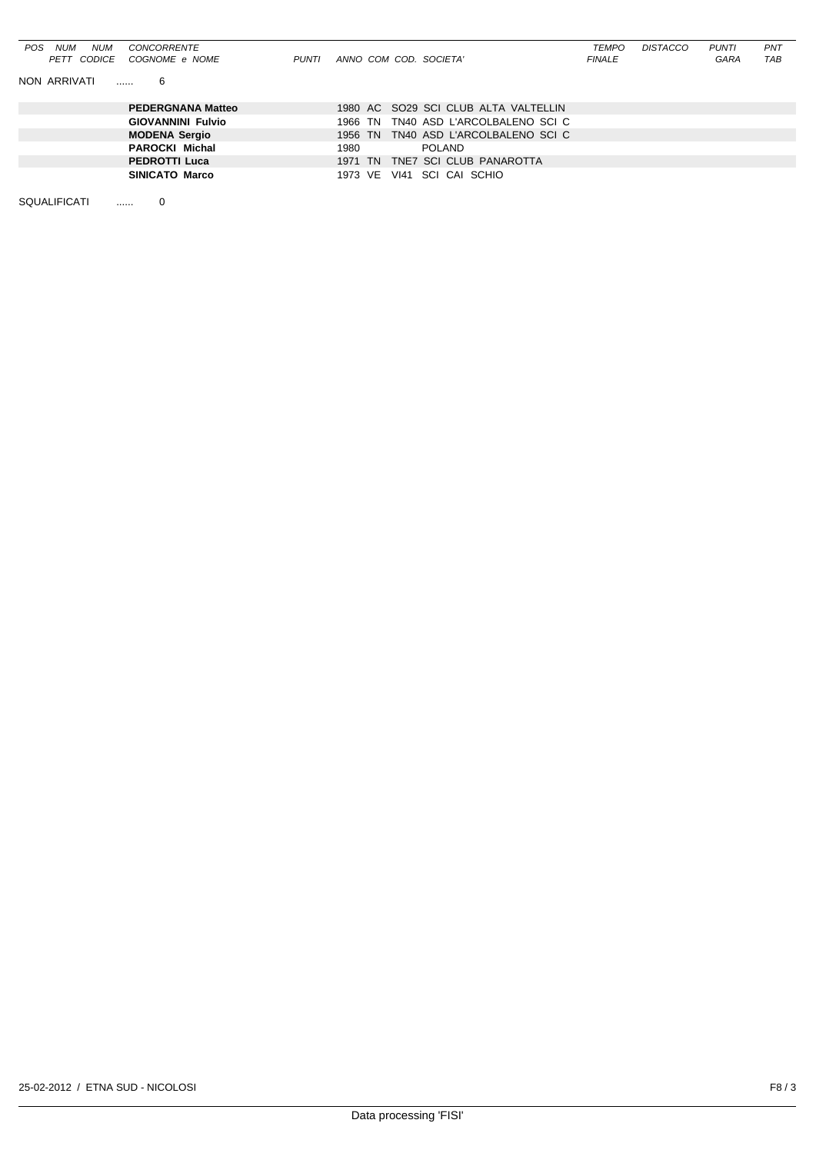| <b>NUM</b><br>POS.<br>NUM<br>CONCORRENTE<br>COGNOME e NOME<br>PETT CODICE<br>PUNTI | ANNO COM COD. SOCIETA'                  | <b>TEMPO</b><br><i>FINALE</i> | <b>DISTACCO</b> | <b>PUNTI</b><br>GARA | PNT<br>TAB |
|------------------------------------------------------------------------------------|-----------------------------------------|-------------------------------|-----------------|----------------------|------------|
| NON ARRIVATI<br>6                                                                  |                                         |                               |                 |                      |            |
| <b>PEDERGNANA Matteo</b>                                                           | 1980 AC SO29 SCI CLUB ALTA VALTELLIN    |                               |                 |                      |            |
| <b>GIOVANNINI Fulvio</b>                                                           | TN40 ASD L'ARCOLBALENO SCI C<br>1966 TN |                               |                 |                      |            |
| <b>MODENA Sergio</b>                                                               | 1956 TN TN40 ASD L'ARCOLBALENO SCI C    |                               |                 |                      |            |
| <b>PAROCKI Michal</b>                                                              | 1980<br>POLAND                          |                               |                 |                      |            |
| <b>PEDROTTI Luca</b>                                                               | TNE7 SCI CLUB PANAROTTA<br>1971 TN      |                               |                 |                      |            |
| <b>SINICATO Marco</b>                                                              | VI41 SCI CAI SCHIO<br>1973 VE           |                               |                 |                      |            |

SQUALIFICATI ...... 0